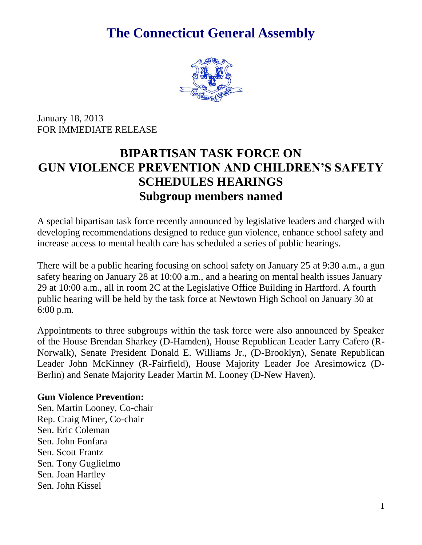# **The Connecticut General Assembly**



January 18, 2013 FOR IMMEDIATE RELEASE

## **BIPARTISAN TASK FORCE ON GUN VIOLENCE PREVENTION AND CHILDREN'S SAFETY SCHEDULES HEARINGS Subgroup members named**

A special bipartisan task force recently announced by legislative leaders and charged with developing recommendations designed to reduce gun violence, enhance school safety and increase access to mental health care has scheduled a series of public hearings.

There will be a public hearing focusing on school safety on January 25 at 9:30 a.m., a gun safety hearing on January 28 at 10:00 a.m., and a hearing on mental health issues January 29 at 10:00 a.m., all in room 2C at the Legislative Office Building in Hartford. A fourth public hearing will be held by the task force at Newtown High School on January 30 at 6:00 p.m.

Appointments to three subgroups within the task force were also announced by Speaker of the House Brendan Sharkey (D-Hamden), House Republican Leader Larry Cafero (R-Norwalk), Senate President Donald E. Williams Jr., (D-Brooklyn), Senate Republican Leader John McKinney (R-Fairfield), House Majority Leader Joe Aresimowicz (D-Berlin) and Senate Majority Leader Martin M. Looney (D-New Haven).

### **Gun Violence Prevention:**

Sen. Martin Looney, Co-chair Rep. Craig Miner, Co-chair Sen. Eric Coleman Sen. John Fonfara Sen. Scott Frantz Sen. Tony Guglielmo Sen. Joan Hartley Sen. John Kissel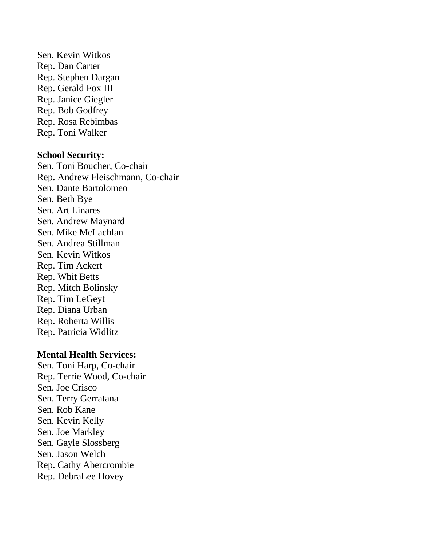Sen. Kevin Witkos Rep. Dan Carter Rep. Stephen Dargan Rep. Gerald Fox III Rep. Janice Giegler Rep. Bob Godfrey Rep. Rosa Rebimbas Rep. Toni Walker

#### **School Security:**

Sen. Toni Boucher, Co-chair Rep. Andrew Fleischmann, Co-chair Sen. Dante Bartolomeo Sen. Beth Bye Sen. Art Linares Sen. Andrew Maynard Sen. Mike McLachlan Sen. Andrea Stillman Sen. Kevin Witkos Rep. Tim Ackert Rep. Whit Betts Rep. Mitch Bolinsky Rep. Tim LeGeyt Rep. Diana Urban Rep. Roberta Willis Rep. Patricia Widlitz

#### **Mental Health Services:**

Sen. Toni Harp, Co-chair Rep. Terrie Wood, Co-chair Sen. Joe Crisco Sen. Terry Gerratana Sen. Rob Kane Sen. Kevin Kelly Sen. Joe Markley Sen. Gayle Slossberg Sen. Jason Welch Rep. Cathy Abercrombie Rep. DebraLee Hovey